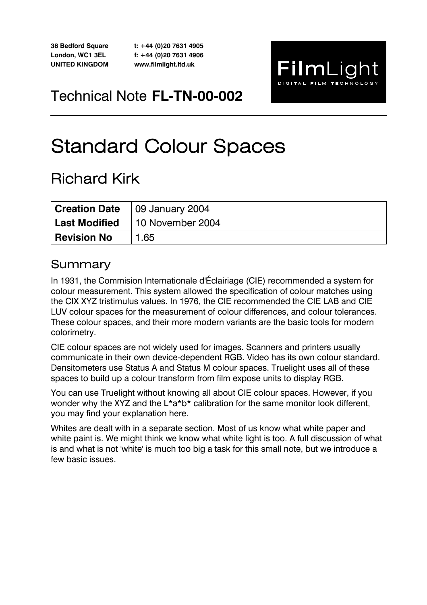**38 Bedford Square London, WC1 3EL UNITED KINGDOM** 

**t: +44 (0)20 7631 4905 f: +44 (0)20 7631 4906 www.filmlight.ltd.uk** 



Technical Note **FL-TN-00-002** 

# Standard Colour Spaces

## Richard Kirk

|                    | <b>Creation Date</b>   09 January 2004 |  |  |  |
|--------------------|----------------------------------------|--|--|--|
|                    | Last Modified 10 November 2004         |  |  |  |
| <b>Revision No</b> | 1.65                                   |  |  |  |

### Summary

In 1931, the Commision Internationale d'Éclairiage (CIE) recommended a system for colour measurement. This system allowed the specification of colour matches using the CIX XYZ tristimulus values. In 1976, the CIE recommended the CIE LAB and CIE LUV colour spaces for the measurement of colour differences, and colour tolerances. These colour spaces, and their more modern variants are the basic tools for modern colorimetry.

CIE colour spaces are not widely used for images. Scanners and printers usually communicate in their own device-dependent RGB. Video has its own colour standard. Densitometers use Status A and Status M colour spaces. Truelight uses all of these spaces to build up a colour transform from film expose units to display RGB.

You can use Truelight without knowing all about CIE colour spaces. However, if you wonder why the XYZ and the L<sup>\*</sup>a<sup>\*</sup>b<sup>\*</sup> calibration for the same monitor look different, you may find your explanation here.

Whites are dealt with in a separate section. Most of us know what white paper and white paint is. We might think we know what white light is too. A full discussion of what is and what is not 'white' is much too big a task for this small note, but we introduce a few basic issues.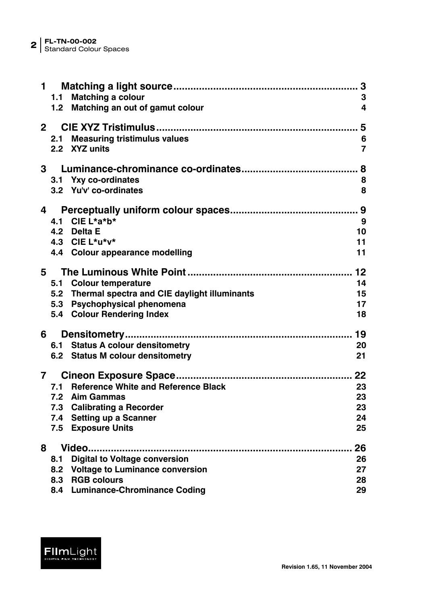|              | $\mathbf 1$ | 1.1 Matching a colour<br>1.2 Matching an out of gamut colour | 3<br>4         |
|--------------|-------------|--------------------------------------------------------------|----------------|
| $\mathbf{2}$ |             |                                                              |                |
|              |             | 2.1 Measuring tristimulus values                             | 6              |
|              |             | 2.2 XYZ units                                                | $\overline{7}$ |
|              | $3^{\circ}$ |                                                              | 8              |
|              |             | 3.1 Yxy co-ordinates                                         | 8              |
|              |             | 3.2 Yu'v' co-ordinates                                       | 8              |
| 4            |             |                                                              |                |
|              |             | 4.1 CIE L*a*b*                                               | 9              |
|              |             | 4.2 Delta E                                                  | 10             |
|              |             | 4.3 CIE L*u*v*                                               | 11             |
|              |             | 4.4 Colour appearance modelling                              | 11             |
| 5            |             |                                                              | 12             |
|              |             | 5.1 Colour temperature                                       | 14             |
|              |             | 5.2 Thermal spectra and CIE daylight illuminants             | 15             |
|              |             | 5.3 Psychophysical phenomena                                 | 17             |
|              |             | 5.4 Colour Rendering Index                                   | 18             |
| 6            |             |                                                              | 19             |
|              |             | 6.1 Status A colour densitometry                             | 20             |
|              |             | 6.2 Status M colour densitometry                             | 21             |
| 7            |             |                                                              | 22             |
|              | 7.1         | <b>Reference White and Reference Black</b>                   | 23             |
|              |             | 7.2 Aim Gammas                                               | 23             |
|              | 7.3         | <b>Calibrating a Recorder</b>                                | 23             |
|              | 7.4         | <b>Setting up a Scanner</b>                                  | 24             |
|              | 7.5         | <b>Exposure Units</b>                                        | 25             |
| 8            |             |                                                              | 26             |
|              | 8.1         | <b>Digital to Voltage conversion</b>                         | 26             |
|              | 8.2         | <b>Voltage to Luminance conversion</b>                       | 27             |
|              |             | 8.3 RGB colours                                              | 28             |
|              |             | 8.4 Luminance-Chrominance Coding                             | 29             |

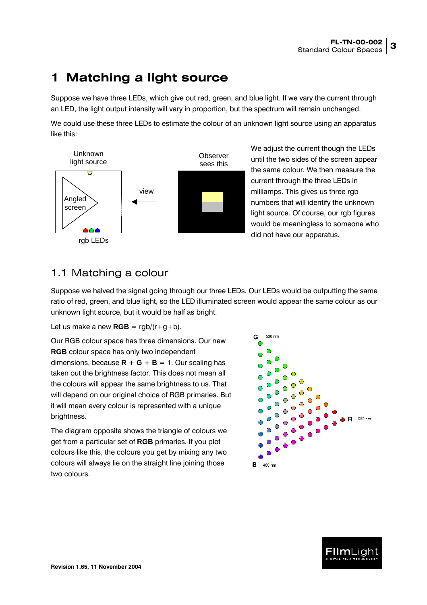### <span id="page-2-2"></span><span id="page-2-0"></span>**1 Matching a light source**

Suppose we have three LEDs, which give out red, green, and blue light. If we vary the current through an LED, the light output intensity will vary in proportion, but the spectrum will remain unchanged.

We could use these three LEDs to estimate the colour of an unknown light source using an apparatus like this:



We adjust the current though the LEDs until the two sides of the screen appear the same colour. We then measure the current through the three LEDs in milliamps. This gives us three rgb numbers that will identify the unknown light source. Of course, our rgb figures would be meaningless to someone who did not have our apparatus.

#### <span id="page-2-1"></span>1.1 Matching a colour

Suppose we halved the signal going through our three LEDs. Our LEDs would be outputting the same ratio of red, green, and blue light, so the LED illuminated screen would appear the same colour as our unknown light source, but it would be half as bright.

Let us make a new  $RGB = rqb/(r+q+b)$ .

Our RGB colour space has three dimensions. Our new **RGB** colour space has only two independent dimensions, because  $\mathbf{R} + \mathbf{G} + \mathbf{B} = 1$ . Our scaling has taken out the brightness factor. This does not mean all the colours will appear the same brightness to us. That will depend on our original choice of RGB primaries. But it will mean every colour is represented with a unique brightness.

The diagram opposite shows the triangle of colours we get from a particular set of **RGB** primaries. If you plot colours like this, the colours you get by mixing any two colours will always lie on the straight line joining those two colours.



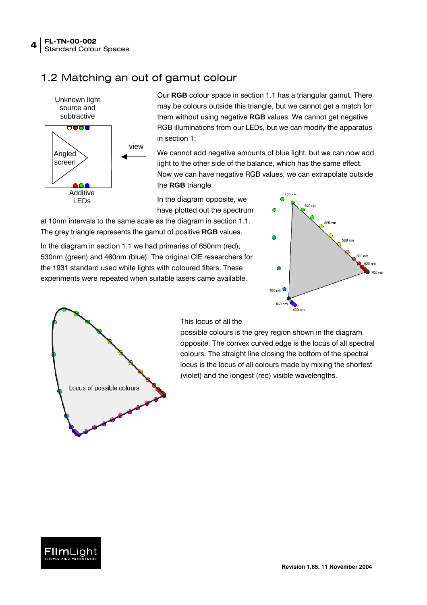#### <span id="page-3-1"></span><span id="page-3-0"></span>1.2 Matching an out of gamut colour



Our **RGB** colour space in section [1.1](#page-2-1) has a triangular gamut. There may be colours outside this triangle, but we cannot get a match for them without using negative **RGB** values. We cannot get negative RGB illuminations from our LEDs, but we can modify the apparatus in section [1:](#page-2-2)

We cannot add negative amounts of blue light, but we can now add light to the other side of the balance, which has the same effect. Now we can have negative RGB values, we can extrapolate outside the **RGB** triangle.

In the diagram opposite, we have plotted out the spectrum

at 10nm intervals to the same scale as the diagram in section [1.1.](#page-2-1) The grey triangle represents the gamut of positive **RGB** values.

In the diagram in section [1.1](#page-2-1) we had primaries of 650nm (red), 530nm (green) and 460nm (blue). The original CIE researchers for the 1931 standard used white lights with coloured filters. These experiments were repeated when suitable lasers came available.





#### This locus of all the

possible colours is the grey region shown in the diagram opposite. The convex curved edge is the locus of all spectral colours. The straight line closing the bottom of the spectral locus is the locus of all colours made by mixing the shortest (violet) and the longest (red) visible wavelengths.

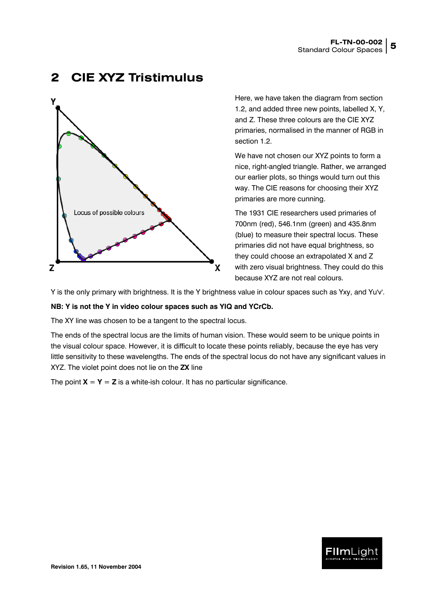#### <span id="page-4-1"></span><span id="page-4-0"></span>**2 CIE XYZ Tristimulus**



Here, we have taken the diagram from section [1.2,](#page-3-1) and added three new points, labelled X, Y, and Z. These three colours are the CIE XYZ primaries, normalised in the manner of RGB in section [1.2.](#page-3-1)

We have not chosen our XYZ points to form a nice, right-angled triangle. Rather, we arranged our earlier plots, so things would turn out this way. The CIE reasons for choosing their XYZ primaries are more cunning.

The 1931 CIE researchers used primaries of 700nm (red), 546.1nm (green) and 435.8nm (blue) to measure their spectral locus. These primaries did not have equal brightness, so they could choose an extrapolated X and Z with zero visual brightness. They could do this because XYZ are not real colours.

Y is the only primary with brightness. It is the Y brightness value in colour spaces such as Yxy, and Yu'v'.

#### **NB: Y is not the Y in video colour spaces such as YIQ and YCrCb.**

The XY line was chosen to be a tangent to the spectral locus.

The ends of the spectral locus are the limits of human vision. These would seem to be unique points in the visual colour space. However, it is difficult to locate these points reliably, because the eye has very little sensitivity to these wavelengths. The ends of the spectral locus do not have any significant values in XYZ. The violet point does not lie on the **ZX** line

The point  $X = Y = Z$  is a white-ish colour. It has no particular significance.

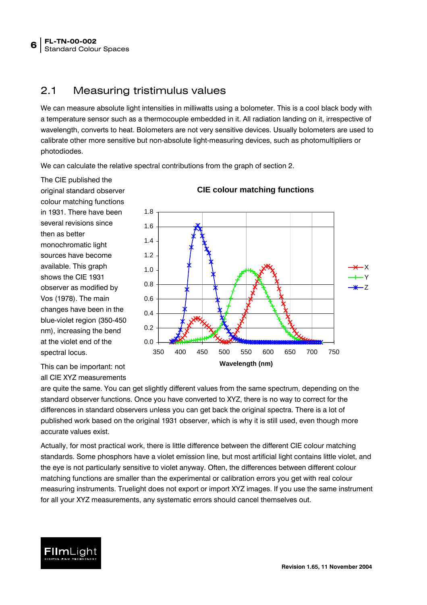#### <span id="page-5-1"></span><span id="page-5-0"></span>2.1 Measuring tristimulus values

We can measure absolute light intensities in milliwatts using a bolometer. This is a cool black body with a temperature sensor such as a thermocouple embedded in it. All radiation landing on it, irrespective of wavelength, converts to heat. Bolometers are not very sensitive devices. Usually bolometers are used to calibrate other more sensitive but non-absolute light-measuring devices, such as photomultipliers or photodiodes.

We can calculate the relative spectral contributions from the graph of section [2.](#page-4-1)

The CIE published the original standard observer colour matching functions in 1931. There have been several revisions since then as better monochromatic light sources have become available. This graph shows the CIE 1931 observer as modified by Vos (1978). The main changes have been in the blue-violet region (350-450 nm), increasing the bend at the violet end of the spectral locus.



This can be important: not all CIE XYZ measurements

are quite the same. You can get slightly different values from the same spectrum, depending on the standard observer functions. Once you have converted to XYZ, there is no way to correct for the differences in standard observers unless you can get back the original spectra. There is a lot of published work based on the original 1931 observer, which is why it is still used, even though more accurate values exist.

Actually, for most practical work, there is little difference between the different CIE colour matching standards. Some phosphors have a violet emission line, but most artificial light contains little violet, and the eye is not particularly sensitive to violet anyway. Often, the differences between different colour matching functions are smaller than the experimental or calibration errors you get with real colour measuring instruments. Truelight does not export or import XYZ images. If you use the same instrument for all your XYZ measurements, any systematic errors should cancel themselves out.

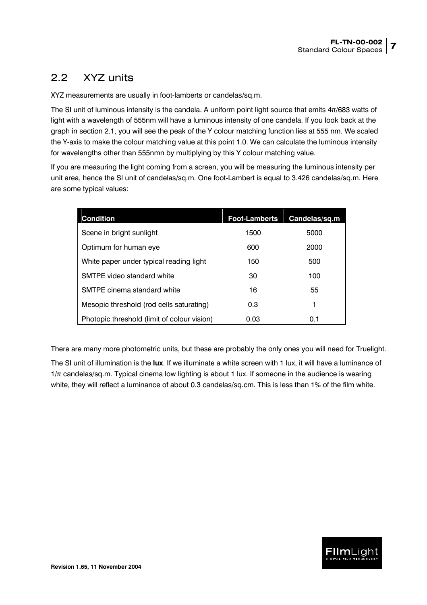#### <span id="page-6-1"></span><span id="page-6-0"></span>2.2 XYZ units

XYZ measurements are usually in foot-lamberts or candelas/sq.m.

The SI unit of luminous intensity is the candela. A uniform point light source that emits 4π/683 watts of light with a wavelength of 555nm will have a luminous intensity of one candela. If you look back at the graph in section [2.1,](#page-5-1) you will see the peak of the Y colour matching function lies at 555 nm. We scaled the Y-axis to make the colour matching value at this point 1.0. We can calculate the luminous intensity for wavelengths other than 555nmn by multiplying by this Y colour matching value.

If you are measuring the light coming from a screen, you will be measuring the luminous intensity per unit area, hence the SI unit of candelas/sq.m. One foot-Lambert is equal to 3.426 candelas/sq.m. Here are some typical values:

| <b>Condition</b>                            | <b>Foot-Lamberts</b> | Candelas/sq.m |
|---------------------------------------------|----------------------|---------------|
| Scene in bright sunlight                    | 1500                 | 5000          |
| Optimum for human eye                       | 600                  | 2000          |
| White paper under typical reading light     | 150                  | 500           |
| SMTPE video standard white                  | 30                   | 100           |
| SMTPE cinema standard white                 | 16                   | 55            |
| Mesopic threshold (rod cells saturating)    | 0.3                  | 1             |
| Photopic threshold (limit of colour vision) | 0.03                 | 0.1           |

There are many more photometric units, but these are probably the only ones you will need for Truelight.

The SI unit of illumination is the **lux**. If we illuminate a white screen with 1 lux, it will have a luminance of  $1/\pi$  candelas/sq.m. Typical cinema low lighting is about 1 lux. If someone in the audience is wearing white, they will reflect a luminance of about 0.3 candelas/sq.cm. This is less than 1% of the film white.

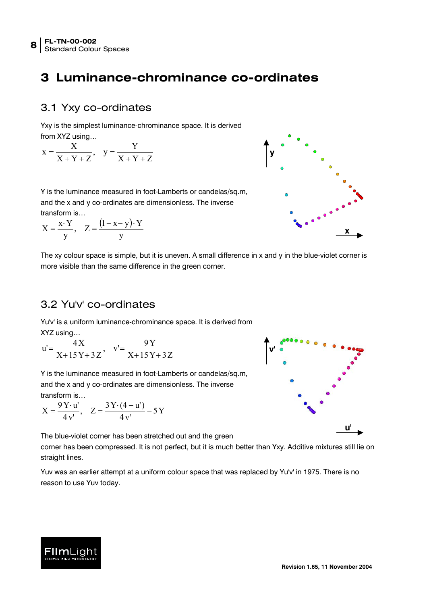### <span id="page-7-0"></span>**3 Luminance-chrominance co-ordinates**

#### 3.1 Yxy co-ordinates

Yxy is the simplest luminance-chrominance space. It is derived from **XV7** using

$$
x = \frac{X}{X+Y+Z}, \quad y = \frac{Y}{X+Y+Z}
$$

Y is the luminance measured in foot-Lamberts or candelas/sq.m, and the x and y co-ordinates are dimensionless. The inverse transform is…

$$
X = \frac{x \cdot Y}{y}, \quad Z = \frac{(1 - x - y) \cdot Y}{y}
$$

**y x**

The xy colour space is simple, but it is uneven. A small difference in x and y in the blue-violet corner is more visible than the same difference in the green corner.

#### <span id="page-7-1"></span>3.2 Yu'v' co-ordinates

Yu'v' is a uniform luminance-chrominance space. It is derived from XYZ using…

$$
u' = \frac{4X}{X + 15Y + 3Z}, \quad v' = \frac{9Y}{X + 15Y + 3Z}
$$

Y is the luminance measured in foot-Lamberts or candelas/sq.m, and the x and y co-ordinates are dimensionless. The inverse transform is…

$$
X = \frac{9 Y \cdot u'}{4 v'}, \quad Z = \frac{3 Y \cdot (4 - u')}{4 v'} - 5 Y
$$

The blue-violet corner has been stretched out and the green

corner has been compressed. It is not perfect, but it is much better than Yxy. Additive mixtures still lie on straight lines.

Yuv was an earlier attempt at a uniform colour space that was replaced by Yu'v' in 1975. There is no reason to use Yuv today.



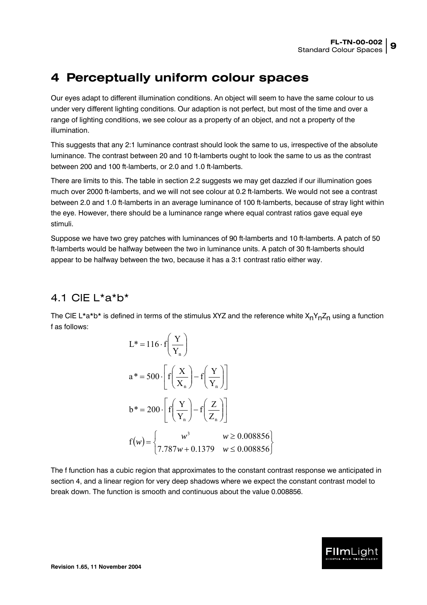### <span id="page-8-1"></span><span id="page-8-0"></span>**4 Perceptually uniform colour spaces**

Our eyes adapt to different illumination conditions. An object will seem to have the same colour to us under very different lighting conditions. Our adaption is not perfect, but most of the time and over a range of lighting conditions, we see colour as a property of an object, and not a property of the illumination.

This suggests that any 2:1 luminance contrast should look the same to us, irrespective of the absolute luminance. The contrast between 20 and 10 ft-lamberts ought to look the same to us as the contrast between 200 and 100 ft-lamberts, or 2.0 and 1.0 ft-lamberts.

There are limits to this. The table in section [2.2](#page-6-1) suggests we may get dazzled if our illumination goes much over 2000 ft-lamberts, and we will not see colour at 0.2 ft-lamberts. We would not see a contrast between 2.0 and 1.0 ft-lamberts in an average luminance of 100 ft-lamberts, because of stray light within the eye. However, there should be a luminance range where equal contrast ratios gave equal eye stimuli.

Suppose we have two grey patches with luminances of 90 ft-lamberts and 10 ft-lamberts. A patch of 50 ft-lamberts would be halfway between the two in luminance units. A patch of 30 ft-lamberts should appear to be halfway between the two, because it has a 3:1 contrast ratio either way.

#### <span id="page-8-2"></span>4.1 CIE L\*a\*b\*

The CIE L\*a\*b\* is defined in terms of the stimulus XYZ and the reference white  $X_nY_nZ_n$  using a function f as follows:

$$
L^* = 116 \cdot f\left(\frac{Y}{Y_n}\right)
$$
  
\n
$$
a^* = 500 \cdot \left[ f\left(\frac{X}{X_n}\right) - f\left(\frac{Y}{Y_n}\right) \right]
$$
  
\n
$$
b^* = 200 \cdot \left[ f\left(\frac{Y}{Y_n}\right) - f\left(\frac{Z}{Z_n}\right) \right]
$$
  
\n
$$
f(w) = \begin{cases} w^3 & w \ge 0.008856\\ 7.787w + 0.1379 & w \le 0.008856 \end{cases}
$$

The f function has a cubic region that approximates to the constant contrast response we anticipated in section [4,](#page-8-1) and a linear region for very deep shadows where we expect the constant contrast model to break down. The function is smooth and continuous about the value 0.008856.

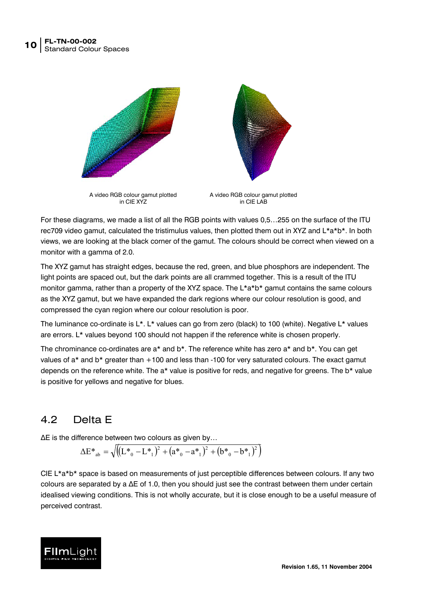<span id="page-9-0"></span>

For these diagrams, we made a list of all the RGB points with values 0,5…255 on the surface of the ITU rec709 video gamut, calculated the tristimulus values, then plotted them out in XYZ and L\*a\*b\*. In both views, we are looking at the black corner of the gamut. The colours should be correct when viewed on a monitor with a gamma of 2.0.

The XYZ gamut has straight edges, because the red, green, and blue phosphors are independent. The light points are spaced out, but the dark points are all crammed together. This is a result of the ITU monitor gamma, rather than a property of the XYZ space. The L<sup>\*</sup>a<sup>\*</sup>b<sup>\*</sup> gamut contains the same colours as the XYZ gamut, but we have expanded the dark regions where our colour resolution is good, and compressed the cyan region where our colour resolution is poor.

The luminance co-ordinate is L\*. L\* values can go from zero (black) to 100 (white). Negative L\* values are errors. L\* values beyond 100 should not happen if the reference white is chosen properly.

The chrominance co-ordinates are a\* and b\*. The reference white has zero a\* and b\*. You can get values of a\* and b\* greater than +100 and less than -100 for very saturated colours. The exact gamut depends on the reference white. The a\* value is positive for reds, and negative for greens. The b\* value is positive for yellows and negative for blues.

#### 4.2 Delta E

∆E is the difference between two colours as given by…

<span id="page-9-1"></span>
$$
\Delta E^*_{ab} = \sqrt{\left( (L^*_{0} - L^*_{1})^2 + (a^*_{0} - a^*_{1})^2 + (b^*_{0} - b^*_{1})^2 \right)}
$$

CIE L\*a\*b\* space is based on measurements of just perceptible differences between colours. If any two colours are separated by a ∆E of 1.0, then you should just see the contrast between them under certain idealised viewing conditions. This is not wholly accurate, but it is close enough to be a useful measure of perceived contrast.

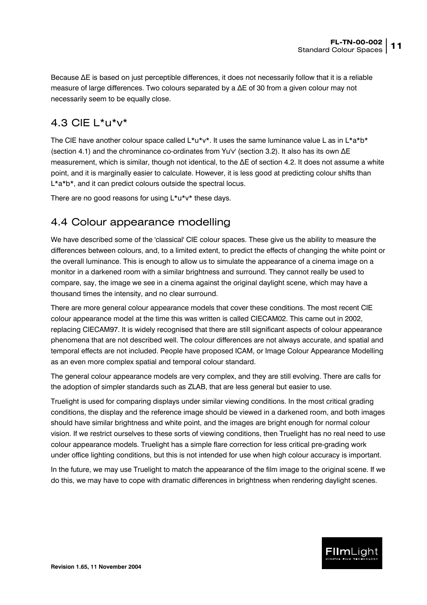<span id="page-10-0"></span>Because ∆E is based on just perceptible differences, it does not necessarily follow that it is a reliable measure of large differences. Two colours separated by a ∆E of 30 from a given colour may not necessarily seem to be equally close.

#### 4.3 CIE L\*u\*v\*

The CIE have another colour space called  $L^*u^*v^*$ . It uses the same luminance value L as in  $L^*a^*b^*$ (section [4.1\)](#page-8-2) and the chrominance co-ordinates from Yu'v' (section [3.2\)](#page-7-1). It also has its own ∆E measurement, which is similar, though not identical, to the ∆E of section [4.2.](#page-9-1) It does not assume a white point, and it is marginally easier to calculate. However, it is less good at predicting colour shifts than L\*a\*b\*, and it can predict colours outside the spectral locus.

There are no good reasons for using  $L^*u^*v^*$  these days.

#### 4.4 Colour appearance modelling

We have described some of the 'classical' CIE colour spaces. These give us the ability to measure the differences between colours, and, to a limited extent, to predict the effects of changing the white point or the overall luminance. This is enough to allow us to simulate the appearance of a cinema image on a monitor in a darkened room with a similar brightness and surround. They cannot really be used to compare, say, the image we see in a cinema against the original daylight scene, which may have a thousand times the intensity, and no clear surround.

There are more general colour appearance models that cover these conditions. The most recent CIE colour appearance model at the time this was written is called CIECAM02. This came out in 2002, replacing CIECAM97. It is widely recognised that there are still significant aspects of colour appearance phenomena that are not described well. The colour differences are not always accurate, and spatial and temporal effects are not included. People have proposed ICAM, or Image Colour Appearance Modelling as an even more complex spatial and temporal colour standard.

The general colour appearance models are very complex, and they are still evolving. There are calls for the adoption of simpler standards such as ZLAB, that are less general but easier to use.

Truelight is used for comparing displays under similar viewing conditions. In the most critical grading conditions, the display and the reference image should be viewed in a darkened room, and both images should have similar brightness and white point, and the images are bright enough for normal colour vision. If we restrict ourselves to these sorts of viewing conditions, then Truelight has no real need to use colour appearance models. Truelight has a simple flare correction for less critical pre-grading work under office lighting conditions, but this is not intended for use when high colour accuracy is important.

In the future, we may use Truelight to match the appearance of the film image to the original scene. If we do this, we may have to cope with dramatic differences in brightness when rendering daylight scenes.

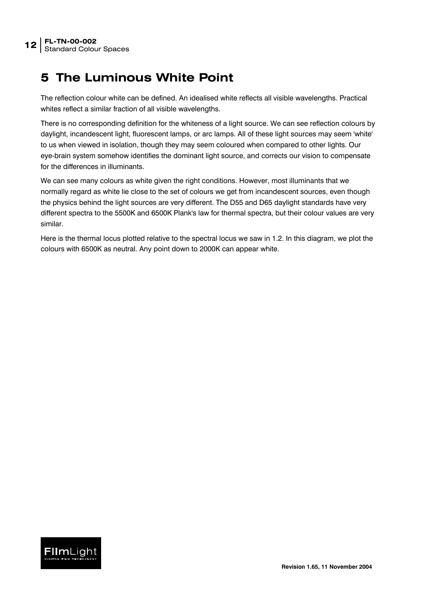## <span id="page-11-0"></span>**5 The Luminous White Point**

The reflection colour white can be defined. An idealised white reflects all visible wavelengths. Practical whites reflect a similar fraction of all visible wavelengths.

There is no corresponding definition for the whiteness of a light source. We can see reflection colours by daylight, incandescent light, fluorescent lamps, or arc lamps. All of these light sources may seem 'white' to us when viewed in isolation, though they may seem coloured when compared to other lights. Our eye-brain system somehow identifies the dominant light source, and corrects our vision to compensate for the differences in illuminants.

We can see many colours as white given the right conditions. However, most illuminants that we normally regard as white lie close to the set of colours we get from incandescent sources, even though the physics behind the light sources are very different. The D55 and D65 daylight standards have very different spectra to the 5500K and 6500K Plank's law for thermal spectra, but their colour values are very similar.

Here is the thermal locus plotted relative to the spectral locus we saw in [1.2.](#page-3-1) In this diagram, we plot the colours with 6500K as neutral. Any point down to 2000K can appear white.

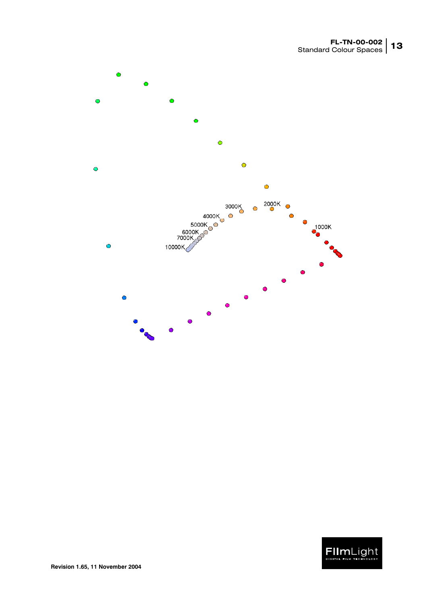

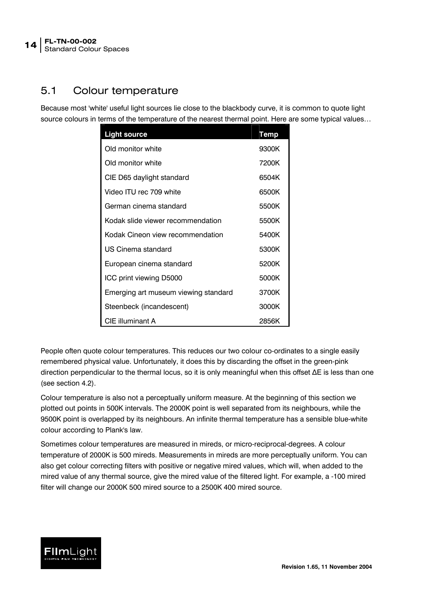#### <span id="page-13-0"></span>5.1 Colour temperature

Because most 'white' useful light sources lie close to the blackbody curve, it is common to quote light source colours in terms of the temperature of the nearest thermal point. Here are some typical values…

| <b>Light source</b>                  | <b>Temp</b> |
|--------------------------------------|-------------|
| Old monitor white                    | 9300K       |
| Old monitor white                    | 7200K       |
| CIE D65 daylight standard            | 6504K       |
| Video ITU rec 709 white              | 6500K       |
| German cinema standard               | 5500K       |
| Kodak slide viewer recommendation    | 5500K       |
| Kodak Cineon view recommendation     | 5400K       |
| US Cinema standard                   | 5300K       |
| European cinema standard             | 5200K       |
| ICC print viewing D5000              | 5000K       |
| Emerging art museum viewing standard | 3700K       |
| Steenbeck (incandescent)             | 3000K       |
| CIE illuminant A                     | 2856K       |

People often quote colour temperatures. This reduces our two colour co-ordinates to a single easily remembered physical value. Unfortunately, it does this by discarding the offset in the green-pink direction perpendicular to the thermal locus, so it is only meaningful when this offset ∆E is less than one (see section [4.2\)](#page-9-1).

Colour temperature is also not a perceptually uniform measure. At the beginning of this section we plotted out points in 500K intervals. The 2000K point is well separated from its neighbours, while the 9500K point is overlapped by its neighbours. An infinite thermal temperature has a sensible blue-white colour according to Plank's law.

Sometimes colour temperatures are measured in mireds, or micro-reciprocal-degrees. A colour temperature of 2000K is 500 mireds. Measurements in mireds are more perceptually uniform. You can also get colour correcting filters with positive or negative mired values, which will, when added to the mired value of any thermal source, give the mired value of the filtered light. For example, a -100 mired filter will change our 2000K 500 mired source to a 2500K 400 mired source.

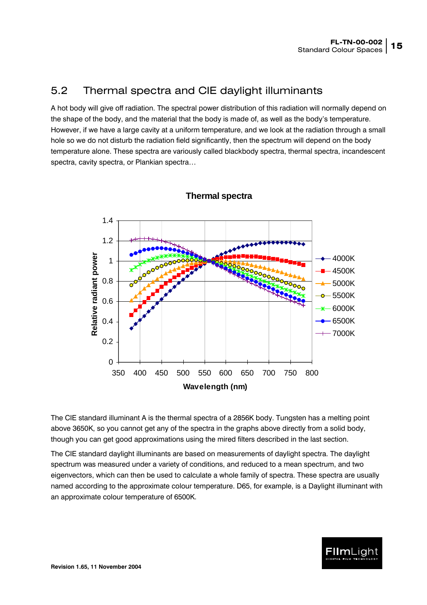#### <span id="page-14-0"></span>5.2 Thermal spectra and CIE daylight illuminants

A hot body will give off radiation. The spectral power distribution of this radiation will normally depend on the shape of the body, and the material that the body is made of, as well as the body's temperature. However, if we have a large cavity at a uniform temperature, and we look at the radiation through a small hole so we do not disturb the radiation field significantly, then the spectrum will depend on the body temperature alone. These spectra are variously called blackbody spectra, thermal spectra, incandescent spectra, cavity spectra, or Plankian spectra…



#### **Thermal spectra**

The CIE standard illuminant A is the thermal spectra of a 2856K body. Tungsten has a melting point above 3650K, so you cannot get any of the spectra in the graphs above directly from a solid body, though you can get good approximations using the mired filters described in the last section.

The CIE standard daylight illuminants are based on measurements of daylight spectra. The daylight spectrum was measured under a variety of conditions, and reduced to a mean spectrum, and two eigenvectors, which can then be used to calculate a whole family of spectra. These spectra are usually named according to the approximate colour temperature. D65, for example, is a Daylight illuminant with an approximate colour temperature of 6500K.

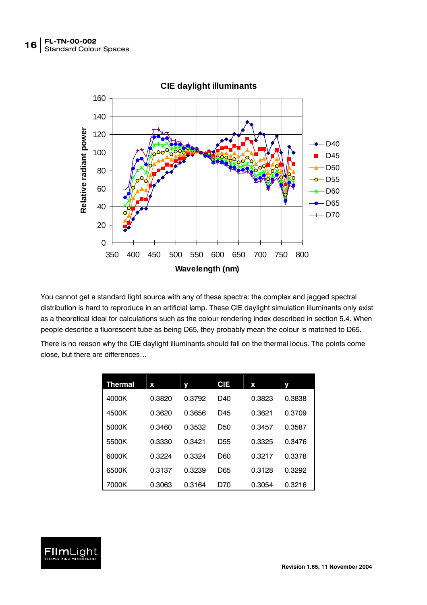

You cannot get a standard light source with any of these spectra: the complex and jagged spectral distribution is hard to reproduce in an artificial lamp. These CIE daylight simulation illuminants only exist as a theoretical ideal for calculations such as the colour rendering index described in section [5.4.](#page-17-1) When people describe a fluorescent tube as being D65, they probably mean the colour is matched to D65.

There is no reason why the CIE daylight illuminants should fall on the thermal locus. The points come close, but there are differences…

| Thermal | x      |        | <b>CIE</b>      | x      |        |
|---------|--------|--------|-----------------|--------|--------|
| 4000K   | 0.3820 | 0.3792 | D40             | 0.3823 | 0.3838 |
| 4500K   | 0.3620 | 0.3656 | D45             | 0.3621 | 0.3709 |
| 5000K   | 0.3460 | 0.3532 | D50             | 0.3457 | 0.3587 |
| 5500K   | 0.3330 | 0.3421 | D <sub>55</sub> | 0.3325 | 0.3476 |
| 6000K   | 0.3224 | 0.3324 | D60             | 0.3217 | 0.3378 |
| 6500K   | 0.3137 | 0.3239 | D65             | 0.3128 | 0.3292 |
| 7000K   | 0.3063 | 0.3164 | D70             | 0.3054 | 0.3216 |

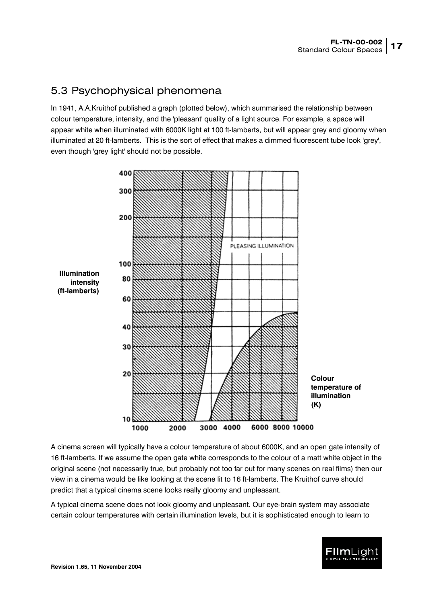#### <span id="page-16-0"></span>5.3 Psychophysical phenomena

In 1941, A.A.Kruithof published a graph (plotted below), which summarised the relationship between colour temperature, intensity, and the 'pleasant' quality of a light source. For example, a space will appear white when illuminated with 6000K light at 100 ft-lamberts, but will appear grey and gloomy when illuminated at 20 ft-lamberts. This is the sort of effect that makes a dimmed fluorescent tube look 'grey', even though 'grey light' should not be possible.



A cinema screen will typically have a colour temperature of about 6000K, and an open gate intensity of 16 ft-lamberts. If we assume the open gate white corresponds to the colour of a matt white object in the original scene (not necessarily true, but probably not too far out for many scenes on real films) then our view in a cinema would be like looking at the scene lit to 16 ft-lamberts. The Kruithof curve should predict that a typical cinema scene looks really gloomy and unpleasant.

A typical cinema scene does not look gloomy and unpleasant. Our eye-brain system may associate certain colour temperatures with certain illumination levels, but it is sophisticated enough to learn to

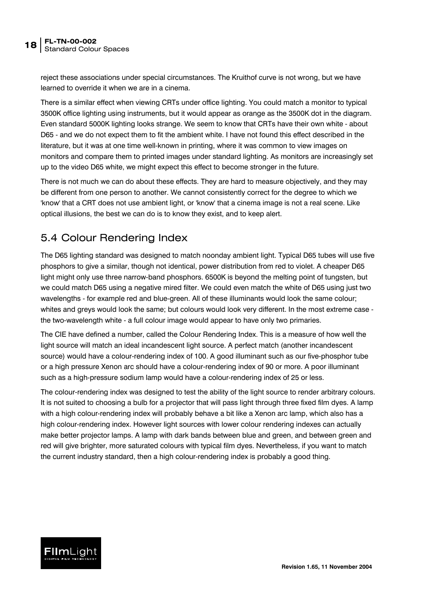<span id="page-17-0"></span>reject these associations under special circumstances. The Kruithof curve is not wrong, but we have learned to override it when we are in a cinema.

There is a similar effect when viewing CRTs under office lighting. You could match a monitor to typical 3500K office lighting using instruments, but it would appear as orange as the 3500K dot in the diagram. Even standard 5000K lighting looks strange. We seem to know that CRTs have their own white - about D65 - and we do not expect them to fit the ambient white. I have not found this effect described in the literature, but it was at one time well-known in printing, where it was common to view images on monitors and compare them to printed images under standard lighting. As monitors are increasingly set up to the video D65 white, we might expect this effect to become stronger in the future.

There is not much we can do about these effects. They are hard to measure objectively, and they may be different from one person to another. We cannot consistently correct for the degree to which we 'know' that a CRT does not use ambient light, or 'know' that a cinema image is not a real scene. Like optical illusions, the best we can do is to know they exist, and to keep alert.

#### <span id="page-17-1"></span>5.4 Colour Rendering Index

The D65 lighting standard was designed to match noonday ambient light. Typical D65 tubes will use five phosphors to give a similar, though not identical, power distribution from red to violet. A cheaper D65 light might only use three narrow-band phosphors. 6500K is beyond the melting point of tungsten, but we could match D65 using a negative mired filter. We could even match the white of D65 using just two wavelengths - for example red and blue-green. All of these illuminants would look the same colour; whites and greys would look the same; but colours would look very different. In the most extreme case the two-wavelength white - a full colour image would appear to have only two primaries.

The CIE have defined a number, called the Colour Rendering Index. This is a measure of how well the light source will match an ideal incandescent light source. A perfect match (another incandescent source) would have a colour-rendering index of 100. A good illuminant such as our five-phosphor tube or a high pressure Xenon arc should have a colour-rendering index of 90 or more. A poor illuminant such as a high-pressure sodium lamp would have a colour-rendering index of 25 or less.

The colour-rendering index was designed to test the ability of the light source to render arbitrary colours. It is not suited to choosing a bulb for a projector that will pass light through three fixed film dyes. A lamp with a high colour-rendering index will probably behave a bit like a Xenon arc lamp, which also has a high colour-rendering index. However light sources with lower colour rendering indexes can actually make better projector lamps. A lamp with dark bands between blue and green, and between green and red will give brighter, more saturated colours with typical film dyes. Nevertheless, if you want to match the current industry standard, then a high colour-rendering index is probably a good thing.

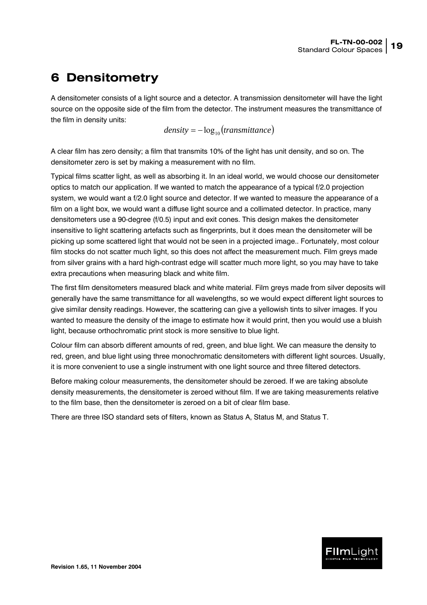### <span id="page-18-0"></span>**6 Densitometry**

A densitometer consists of a light source and a detector. A transmission densitometer will have the light source on the opposite side of the film from the detector. The instrument measures the transmittance of the film in density units:

 $density = -log_{10}(transmittance)$ 

A clear film has zero density; a film that transmits 10% of the light has unit density, and so on. The densitometer zero is set by making a measurement with no film.

Typical films scatter light, as well as absorbing it. In an ideal world, we would choose our densitometer optics to match our application. If we wanted to match the appearance of a typical f/2.0 projection system, we would want a f/2.0 light source and detector. If we wanted to measure the appearance of a film on a light box, we would want a diffuse light source and a collimated detector. In practice, many densitometers use a 90-degree (f/0.5) input and exit cones. This design makes the densitometer insensitive to light scattering artefacts such as fingerprints, but it does mean the densitometer will be picking up some scattered light that would not be seen in a projected image.. Fortunately, most colour film stocks do not scatter much light, so this does not affect the measurement much. Film greys made from silver grains with a hard high-contrast edge will scatter much more light, so you may have to take extra precautions when measuring black and white film.

The first film densitometers measured black and white material. Film greys made from silver deposits will generally have the same transmittance for all wavelengths, so we would expect different light sources to give similar density readings. However, the scattering can give a yellowish tints to silver images. If you wanted to measure the density of the image to estimate how it would print, then you would use a bluish light, because orthochromatic print stock is more sensitive to blue light.

Colour film can absorb different amounts of red, green, and blue light. We can measure the density to red, green, and blue light using three monochromatic densitometers with different light sources. Usually, it is more convenient to use a single instrument with one light source and three filtered detectors.

Before making colour measurements, the densitometer should be zeroed. If we are taking absolute density measurements, the densitometer is zeroed without film. If we are taking measurements relative to the film base, then the densitometer is zeroed on a bit of clear film base.

There are three ISO standard sets of filters, known as Status A, Status M, and Status T.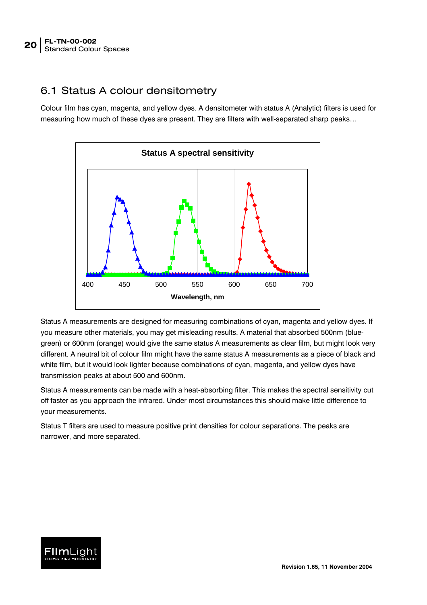#### <span id="page-19-0"></span>6.1 Status A colour densitometry

Colour film has cyan, magenta, and yellow dyes. A densitometer with status A (Analytic) filters is used for measuring how much of these dyes are present. They are filters with well-separated sharp peaks…



Status A measurements are designed for measuring combinations of cyan, magenta and yellow dyes. If you measure other materials, you may get misleading results. A material that absorbed 500nm (bluegreen) or 600nm (orange) would give the same status A measurements as clear film, but might look very different. A neutral bit of colour film might have the same status A measurements as a piece of black and white film, but it would look lighter because combinations of cyan, magenta, and yellow dyes have transmission peaks at about 500 and 600nm.

Status A measurements can be made with a heat-absorbing filter. This makes the spectral sensitivity cut off faster as you approach the infrared. Under most circumstances this should make little difference to your measurements.

Status T filters are used to measure positive print densities for colour separations. The peaks are narrower, and more separated.

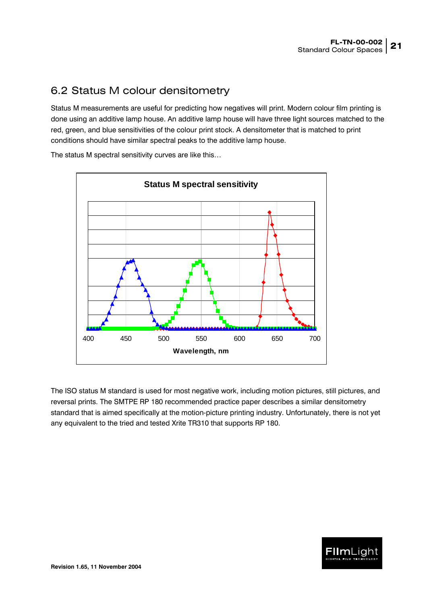#### <span id="page-20-1"></span><span id="page-20-0"></span>6.2 Status M colour densitometry

Status M measurements are useful for predicting how negatives will print. Modern colour film printing is done using an additive lamp house. An additive lamp house will have three light sources matched to the red, green, and blue sensitivities of the colour print stock. A densitometer that is matched to print conditions should have similar spectral peaks to the additive lamp house.

**Status M spectral sensitivity** 400 450 500 550 600 650 700 **Wavelength, nm**

The status M spectral sensitivity curves are like this…

The ISO status M standard is used for most negative work, including motion pictures, still pictures, and reversal prints. The SMTPE RP 180 recommended practice paper describes a similar densitometry standard that is aimed specifically at the motion-picture printing industry. Unfortunately, there is not yet any equivalent to the tried and tested Xrite TR310 that supports RP 180.

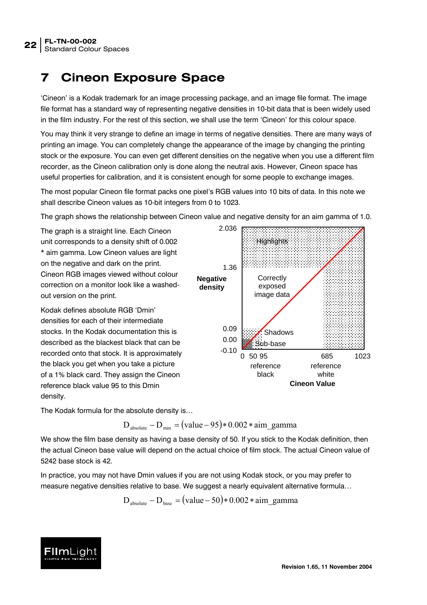## <span id="page-21-0"></span>**7 Cineon Exposure Space**

'Cineon' is a Kodak trademark for an image processing package, and an image file format. The image file format has a standard way of representing negative densities in 10-bit data that is been widely used in the film industry. For the rest of this section, we shall use the term 'Cineon' for this colour space.

You may think it very strange to define an image in terms of negative densities. There are many ways of printing an image. You can completely change the appearance of the image by changing the printing stock or the exposure. You can even get different densities on the negative when you use a different film recorder, as the Cineon calibration only is done along the neutral axis. However, Cineon space has useful properties for calibration, and it is consistent enough for some people to exchange images.

The most popular Cineon file format packs one pixel's RGB values into 10 bits of data. In this note we shall describe Cineon values as 10-bit integers from 0 to 1023.

The graph shows the relationship between Cineon value and negative density for an aim gamma of 1.0.

The graph is a straight line. Each Cineon unit corresponds to a density shift of 0.002 \* aim gamma. Low Cineon values are light on the negative and dark on the print. Cineon RGB images viewed without colour correction on a monitor look like a washedout version on the print.

Kodak defines absolute RGB 'Dmin' densities for each of their intermediate stocks. In the Kodak documentation this is described as the blackest black that can be recorded onto that stock. It is approximately the black you get when you take a picture of a 1% black card. They assign the Cineon reference black value 95 to this Dmin density.



The Kodak formula for the absolute density is…

 $D_{\text{absolute}} - D_{\text{min}} = (\text{value} - 95) * 0.002 * \text{aim gamma}$ 

We show the film base density as having a base density of 50. If you stick to the Kodak definition, then the actual Cineon base value will depend on the actual choice of film stock. The actual Cineon value of 5242 base stock is 42.

In practice, you may not have Dmin values if you are not using Kodak stock, or you may prefer to measure negative densities relative to base. We suggest a nearly equivalent alternative formula…

 $D_{\text{absolute}} - D_{\text{base}} = (\text{value} - 50) * 0.002 * \text{aim\_gamma}$ 

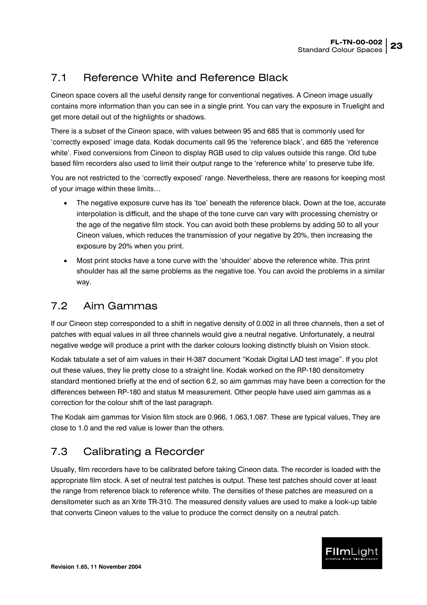#### <span id="page-22-1"></span><span id="page-22-0"></span>7.1 Reference White and Reference Black

Cineon space covers all the useful density range for conventional negatives. A Cineon image usually contains more information than you can see in a single print. You can vary the exposure in Truelight and get more detail out of the highlights or shadows.

There is a subset of the Cineon space, with values between 95 and 685 that is commonly used for 'correctly exposed' image data. Kodak documents call 95 the 'reference black', and 685 the 'reference white'. Fixed conversions from Cineon to display RGB used to clip values outside this range. Old tube based film recorders also used to limit their output range to the 'reference white' to preserve tube life.

You are not restricted to the 'correctly exposed' range. Nevertheless, there are reasons for keeping most of your image within these limits…

- The negative exposure curve has its 'toe' beneath the reference black. Down at the toe, accurate interpolation is difficult, and the shape of the tone curve can vary with processing chemistry or the age of the negative film stock. You can avoid both these problems by adding 50 to all your Cineon values, which reduces the transmission of your negative by 20%, then increasing the exposure by 20% when you print.
- Most print stocks have a tone curve with the 'shoulder' above the reference white. This print shoulder has all the same problems as the negative toe. You can avoid the problems in a similar way.

### 7.2 Aim Gammas

If our Cineon step corresponded to a shift in negative density of 0.002 in all three channels, then a set of patches with equal values in all three channels would give a neutral negative. Unfortunately, a neutral negative wedge will produce a print with the darker colours looking distinctly bluish on Vision stock.

Kodak tabulate a set of aim values in their H-387 document "Kodak Digital LAD test image". If you plot out these values, they lie pretty close to a straight line. Kodak worked on the RP-180 densitometry standard mentioned briefly at the end of section [6.2,](#page-20-1) so aim gammas may have been a correction for the differences between RP-180 and status M measurement. Other people have used aim gammas as a correction for the colour shift of the last paragraph.

The Kodak aim gammas for Vision film stock are 0.966, 1.063,1.087. These are typical values, They are close to 1.0 and the red value is lower than the others.

#### 7.3 Calibrating a Recorder

Usually, film recorders have to be calibrated before taking Cineon data. The recorder is loaded with the appropriate film stock. A set of neutral test patches is output. These test patches should cover at least the range from reference black to reference white. The densities of these patches are measured on a densitometer such as an Xrite TR-310. The measured density values are used to make a look-up table that converts Cineon values to the value to produce the correct density on a neutral patch.

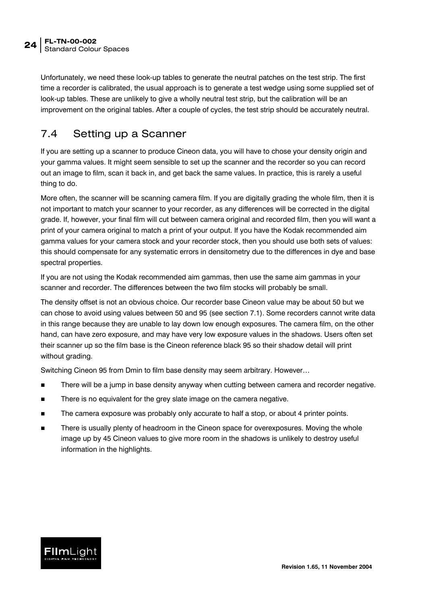<span id="page-23-0"></span>Unfortunately, we need these look-up tables to generate the neutral patches on the test strip. The first time a recorder is calibrated, the usual approach is to generate a test wedge using some supplied set of look-up tables. These are unlikely to give a wholly neutral test strip, but the calibration will be an improvement on the original tables. After a couple of cycles, the test strip should be accurately neutral.

#### 7.4 Setting up a Scanner

If you are setting up a scanner to produce Cineon data, you will have to chose your density origin and your gamma values. It might seem sensible to set up the scanner and the recorder so you can record out an image to film, scan it back in, and get back the same values. In practice, this is rarely a useful thing to do.

More often, the scanner will be scanning camera film. If you are digitally grading the whole film, then it is not important to match your scanner to your recorder, as any differences will be corrected in the digital grade. If, however, your final film will cut between camera original and recorded film, then you will want a print of your camera original to match a print of your output. If you have the Kodak recommended aim gamma values for your camera stock and your recorder stock, then you should use both sets of values: this should compensate for any systematic errors in densitometry due to the differences in dye and base spectral properties.

If you are not using the Kodak recommended aim gammas, then use the same aim gammas in your scanner and recorder. The differences between the two film stocks will probably be small.

The density offset is not an obvious choice. Our recorder base Cineon value may be about 50 but we can chose to avoid using values between 50 and 95 (see section [7.1\)](#page-22-1). Some recorders cannot write data in this range because they are unable to lay down low enough exposures. The camera film, on the other hand, can have zero exposure, and may have very low exposure values in the shadows. Users often set their scanner up so the film base is the Cineon reference black 95 so their shadow detail will print without grading.

Switching Cineon 95 from Dmin to film base density may seem arbitrary. However…

- There will be a jump in base density anyway when cutting between camera and recorder negative.
- There is no equivalent for the grey slate image on the camera negative.
- The camera exposure was probably only accurate to half a stop, or about 4 printer points.
- There is usually plenty of headroom in the Cineon space for overexposures. Moving the whole image up by 45 Cineon values to give more room in the shadows is unlikely to destroy useful information in the highlights.

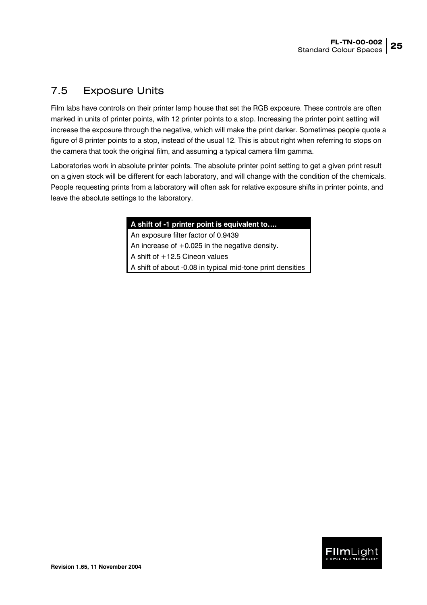#### <span id="page-24-0"></span>7.5 Exposure Units

Film labs have controls on their printer lamp house that set the RGB exposure. These controls are often marked in units of printer points, with 12 printer points to a stop. Increasing the printer point setting will increase the exposure through the negative, which will make the print darker. Sometimes people quote a figure of 8 printer points to a stop, instead of the usual 12. This is about right when referring to stops on the camera that took the original film, and assuming a typical camera film gamma.

Laboratories work in absolute printer points. The absolute printer point setting to get a given print result on a given stock will be different for each laboratory, and will change with the condition of the chemicals. People requesting prints from a laboratory will often ask for relative exposure shifts in printer points, and leave the absolute settings to the laboratory.

#### **A shift of -1 printer point is equivalent to….**

An exposure filter factor of 0.9439 An increase of  $+0.025$  in the negative density. A shift of +12.5 Cineon values A shift of about -0.08 in typical mid-tone print densities

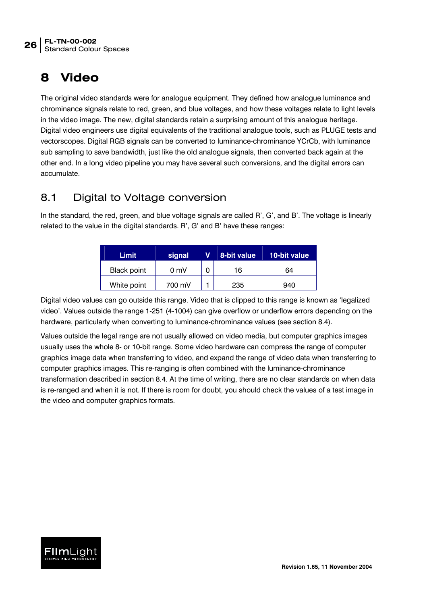## <span id="page-25-0"></span>**8 Video**

The original video standards were for analogue equipment. They defined how analogue luminance and chrominance signals relate to red, green, and blue voltages, and how these voltages relate to light levels in the video image. The new, digital standards retain a surprising amount of this analogue heritage. Digital video engineers use digital equivalents of the traditional analogue tools, such as PLUGE tests and vectorscopes. Digital RGB signals can be converted to luminance-chrominance YCrCb, with luminance sub sampling to save bandwidth, just like the old analogue signals, then converted back again at the other end. In a long video pipeline you may have several such conversions, and the digital errors can accumulate.

#### <span id="page-25-1"></span>8.1 Digital to Voltage conversion

In the standard, the red, green, and blue voltage signals are called R', G', and B'. The voltage is linearly related to the value in the digital standards. R', G' and B' have these ranges:

| Limit              | signal         | 8-bit value | 10-bit value |
|--------------------|----------------|-------------|--------------|
| <b>Black point</b> | $0 \text{ mV}$ | 16          | 64           |
| White point        | 700 mV         | 235         | 940          |

Digital video values can go outside this range. Video that is clipped to this range is known as 'legalized video'. Values outside the range 1-251 (4-1004) can give overflow or underflow errors depending on the hardware, particularly when converting to luminance-chrominance values (see section [8.4\)](#page-28-1).

Values outside the legal range are not usually allowed on video media, but computer graphics images usually uses the whole 8- or 10-bit range. Some video hardware can compress the range of computer graphics image data when transferring to video, and expand the range of video data when transferring to computer graphics images. This re-ranging is often combined with the luminance-chrominance transformation described in section [8.4.](#page-28-1) At the time of writing, there are no clear standards on when data is re-ranged and when it is not. If there is room for doubt, you should check the values of a test image in the video and computer graphics formats.

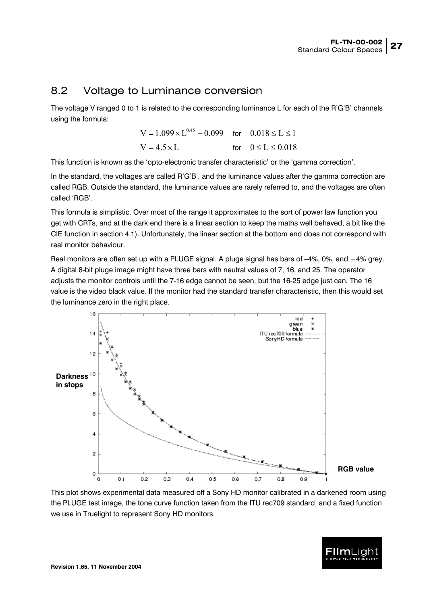#### <span id="page-26-0"></span>8.2 Voltage to Luminance conversion

The voltage V ranged 0 to 1 is related to the corresponding luminance L for each of the R'G'B' channels using the formula:

> $V = 1.099 \times 1^{0.45} - 0.099$  for  $0.018 \le L \le 1$  $V = 4.5 \times I$  for  $0 \le I \le 0.018$

This function is known as the 'opto-electronic transfer characteristic' or the 'gamma correction'.

In the standard, the voltages are called R'G'B', and the luminance values after the gamma correction are called RGB. Outside the standard, the luminance values are rarely referred to, and the voltages are often called 'RGB'.

This formula is simplistic. Over most of the range it approximates to the sort of power law function you get with CRTs, and at the dark end there is a linear section to keep the maths well behaved, a bit like the CIE function in section [4.1\)](#page-8-2). Unfortunately, the linear section at the bottom end does not correspond with real monitor behaviour.

Real monitors are often set up with a PLUGE signal. A pluge signal has bars of –4%, 0%, and +4% grey. A digital 8-bit pluge image might have three bars with neutral values of 7, 16, and 25. The operator adjusts the monitor controls until the 7-16 edge cannot be seen, but the 16-25 edge just can. The 16 value is the video black value. If the monitor had the standard transfer characteristic, then this would set the luminance zero in the right place.



This plot shows experimental data measured off a Sony HD monitor calibrated in a darkened room using the PLUGE test image, the tone curve function taken from the ITU rec709 standard, and a fixed function we use in Truelight to represent Sony HD monitors.

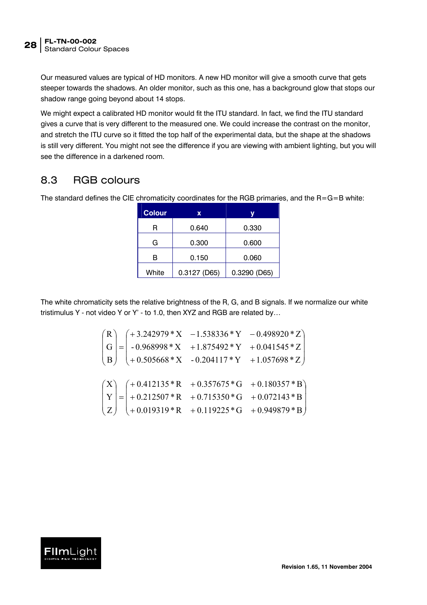<span id="page-27-0"></span>Our measured values are typical of HD monitors. A new HD monitor will give a smooth curve that gets steeper towards the shadows. An older monitor, such as this one, has a background glow that stops our shadow range going beyond about 14 stops.

We might expect a calibrated HD monitor would fit the ITU standard. In fact, we find the ITU standard gives a curve that is very different to the measured one. We could increase the contrast on the monitor, and stretch the ITU curve so it fitted the top half of the experimental data, but the shape at the shadows is still very different. You might not see the difference if you are viewing with ambient lighting, but you will see the difference in a darkened room.

#### 8.3 RGB colours

The standard defines the CIE chromaticity coordinates for the RGB primaries, and the  $R = G = B$  white:

| <b>Colour</b> | X            |              |
|---------------|--------------|--------------|
| R             | 0.640        | 0.330        |
| G             | 0.300        | 0.600        |
| 0.150<br>в    |              | 0.060        |
| White         | 0.3127 (D65) | 0.3290 (D65) |

The white chromaticity sets the relative brightness of the R, G, and B signals. If we normalize our white tristimulus Y - not video Y or Y' - to 1.0, then XYZ and RGB are related by…

$$
\begin{pmatrix}\nR \\
G \\
B\n\end{pmatrix} = \begin{pmatrix}\n+3.242979 \cdot X & -1.538336 \cdot Y & -0.498920 \cdot Z \\
-0.968998 \cdot X & +1.875492 \cdot Y & +0.041545 \cdot Z \\
+ 0.505668 \cdot X & -0.204117 \cdot Y & +1.057698 \cdot Z\n\end{pmatrix}
$$
\n
$$
\begin{pmatrix}\nX \\
Y \\
Z\n\end{pmatrix} = \begin{pmatrix}\n+ 0.412135 \cdot R & +0.357675 \cdot G & +0.180357 \cdot B \\
+ 0.212507 \cdot R & +0.715350 \cdot G & +0.072143 \cdot B \\
+ 0.019319 \cdot R & +0.119225 \cdot G & +0.949879 \cdot B\n\end{pmatrix}
$$